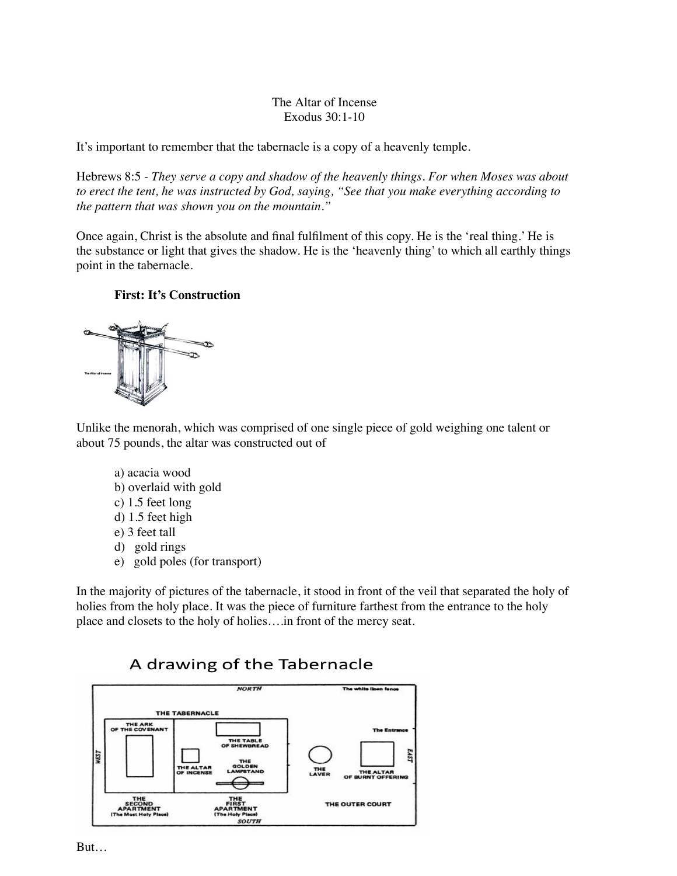## The Altar of Incense Exodus 30:1-10

It's important to remember that the tabernacle is a copy of a heavenly temple.

Hebrews 8:5 - *They serve a copy and shadow of the heavenly things. For when Moses was about to erect the tent, he was instructed by God, saying, "See that you make everything according to the pattern that was shown you on the mountain."*

Once again, Christ is the absolute and final fulfilment of this copy. He is the 'real thing.' He is the substance or light that gives the shadow. He is the 'heavenly thing' to which all earthly things point in the tabernacle.

## **First: It's Construction**



Unlike the menorah, which was comprised of one single piece of gold weighing one talent or about 75 pounds, the altar was constructed out of

- a) acacia wood b) overlaid with gold c) 1.5 feet long d) 1.5 feet high e) 3 feet tall d) gold rings
- e) gold poles (for transport)

In the majority of pictures of the tabernacle, it stood in front of the veil that separated the holy of holies from the holy place. It was the piece of furniture farthest from the entrance to the holy place and closets to the holy of holies….in front of the mercy seat.

# A drawing of the Tabernacle

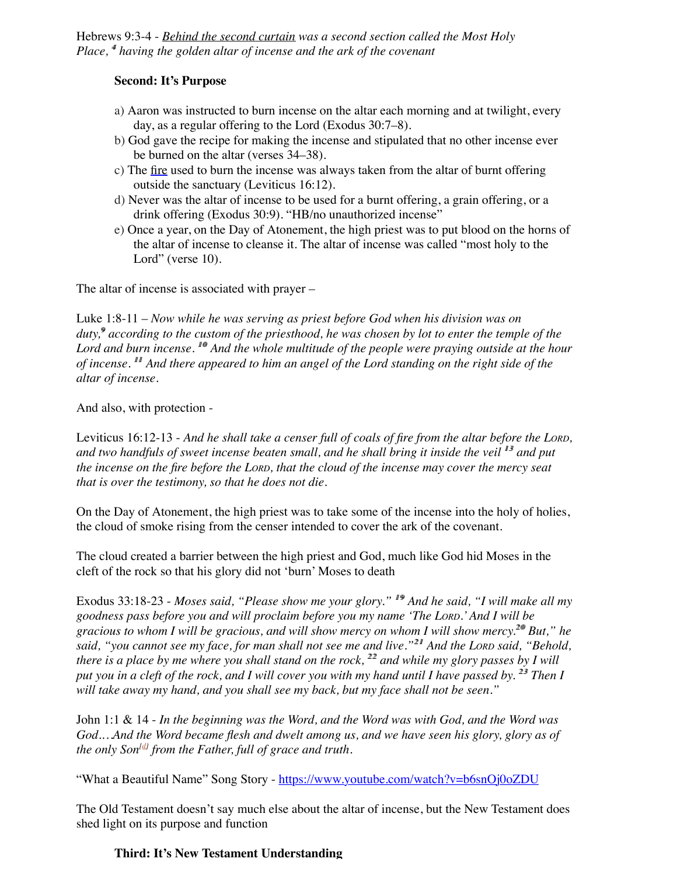Hebrews 9:3-4 - *Behind the second curtain was a second section called the Most Holy Place,* <sup>4</sup> having the golden altar of incense and the ark of the covenant

## **Second: It's Purpose**

- a) Aaron was instructed to burn incense on the altar each morning and at twilight, every day, as a regular offering to the Lord (Exodus 30:7–8).
- b) God gave the recipe for making the incense and stipulated that no other incense ever be burned on the altar (verses 34–38).
- c) The fire used to burn the incense was always taken from the altar of burnt offering outside the sanctuary (Leviticus 16:12).
- d) Never was the altar of incense to be used for a burnt offering, a grain offering, or a drink offering (Exodus 30:9). "HB/no unauthorized incense"
- e) Once a year, on the Day of Atonement, the high priest was to put blood on the horns of the altar of incense to cleanse it. The altar of incense was called "most holy to the Lord" (verse 10).

The altar of incense is associated with prayer –

Luke 1:8-11 – *Now while he was serving as priest before God when his division was on* duty,<sup>9</sup> according to the custom of the priesthood, he was chosen by lot to enter the temple of the Lord and burn incense. <sup>10</sup> And the whole multitude of the people were praying outside at the hour *of incense. 11 11 And there appeared to him an angel of the Lord standing on the right side of the altar of incense.*

And also, with protection -

Leviticus 16:12-13 - *And he shall take a censer full of coals of fire from the altar before the LORD,* and two handfuls of sweet incense beaten small, and he shall bring it inside the veil <sup>13</sup> and put *the incense on the fire before the LORD, that the cloud of the incense may cover the mercy seat that is over the testimony, so that he does not die.* 

On the Day of Atonement, the high priest was to take some of the incense into the holy of holies, the cloud of smoke rising from the censer intended to cover the ark of the covenant.

The cloud created a barrier between the high priest and God, much like God hid Moses in the cleft of the rock so that his glory did not 'burn' Moses to death

Exodus 33:18-23 - *Moses said, "Please show me your glory."* <sup>19</sup> And he said, "I will make all my *goodness pass before you and will proclaim before you my name 'The LORD.' And I will be gracious to whom I will be gracious, and will show mercy on whom I will show mercy.20 20 But," he said, "you cannot see my face, for man shall not see me and live."21 21 And the LORD said, "Behold, there is a place by me where you shall stand on the rock,* <sup>22</sup> and while my glory passes by I will *put you in a cleft of the rock, and I will cover you with my hand until I have passed by.* <sup>23</sup> Then I *will take away my hand, and you shall see my back, but my face shall not be seen."*

John 1:1 & 14 - *In the beginning was the Word, and the Word was with God, and the Word was God.…And the Word became flesh and dwelt among us, and we have seen his glory, glory as of the only Son[d] from the Father, full of grace and truth.* 

"What a Beautiful Name" Song Story - https://www.youtube.com/watch?v=b6snOj0oZDU

The Old Testament doesn't say much else about the altar of incense, but the New Testament does shed light on its purpose and function

## **Third: It's New Testament Understanding**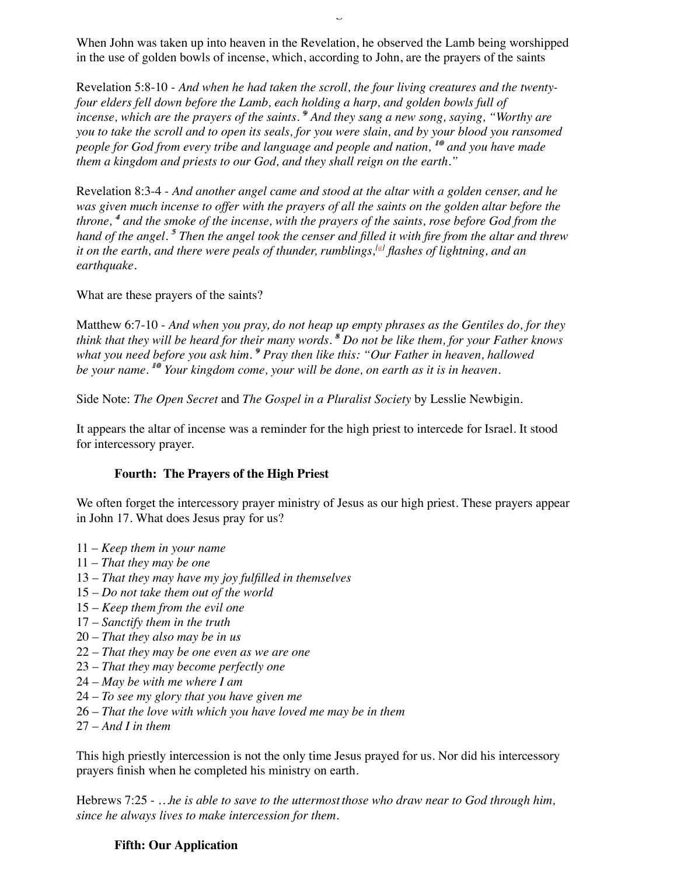When John was taken up into heaven in the Revelation, he observed the Lamb being worshipped in the use of golden bowls of incense, which, according to John, are the prayers of the saints

Revelation 5:8-10 - *And when he had taken the scroll, the four living creatures and the twentyfour elders fell down before the Lamb, each holding a harp, and golden bowls full of incense, which are the prayers of the saints.* <sup>9</sup> And they sang a new song, saying, "Worthy are *you to take the scroll and to open its seals, for you were slain, and by your blood you ransomed people for God from every tribe and language and people and nation,* <sup>10</sup> and you have made *them a kingdom and priests to our God, and they shall reign on the earth."*

Revelation 8:3-4 - *And another angel came and stood at the altar with a golden censer, and he was given much incense to offer with the prayers of all the saints on the golden altar before the throne, 4 4 and the smoke of the incense, with the prayers of the saints, rose before God from the hand of the angel. 5 5 Then the angel took the censer and filled it with fire from the altar and threw it on the earth, and there were peals of thunder, rumblings,[a] flashes of lightning, and an earthquake.*

What are these prayers of the saints?

Matthew 6:7-10 - *And when you pray, do not heap up empty phrases as the Gentiles do, for they think that they will be heard for their many words. 8 8 Do not be like them, for your Father knows what you need before you ask him. 9 9 Pray then like this: "Our Father in heaven, hallowed be your name. 10 10 Your kingdom come, your will be done, on earth as it is in heaven.*

Side Note: *The Open Secret* and *The Gospel in a Pluralist Society* by Lesslie Newbigin.

It appears the altar of incense was a reminder for the high priest to intercede for Israel. It stood for intercessory prayer.

### **Fourth: The Prayers of the High Priest**

**Third: It's New Testament Understanding**

We often forget the intercessory prayer ministry of Jesus as our high priest. These prayers appear in John 17. What does Jesus pray for us?

- 11 *Keep them in your name*
- 11 *That they may be one*
- 13 *That they may have my joy fulfilled in themselves*
- 15 *Do not take them out of the world*
- 15 *Keep them from the evil one*
- 17 *Sanctify them in the truth*
- 20 *That they also may be in us*
- 22 *That they may be one even as we are one*
- 23 *That they may become perfectly one*
- 24 *May be with me where I am*
- 24 *To see my glory that you have given me*
- 26 *That the love with which you have loved me may be in them*
- 27 *And I in them*

This high priestly intercession is not the only time Jesus prayed for us. Nor did his intercessory prayers finish when he completed his ministry on earth.

Hebrews 7:25 - *…he is able to save to the uttermost those who draw near to God through him, since he always lives to make intercession for them.*

#### **Fifth: Our Application**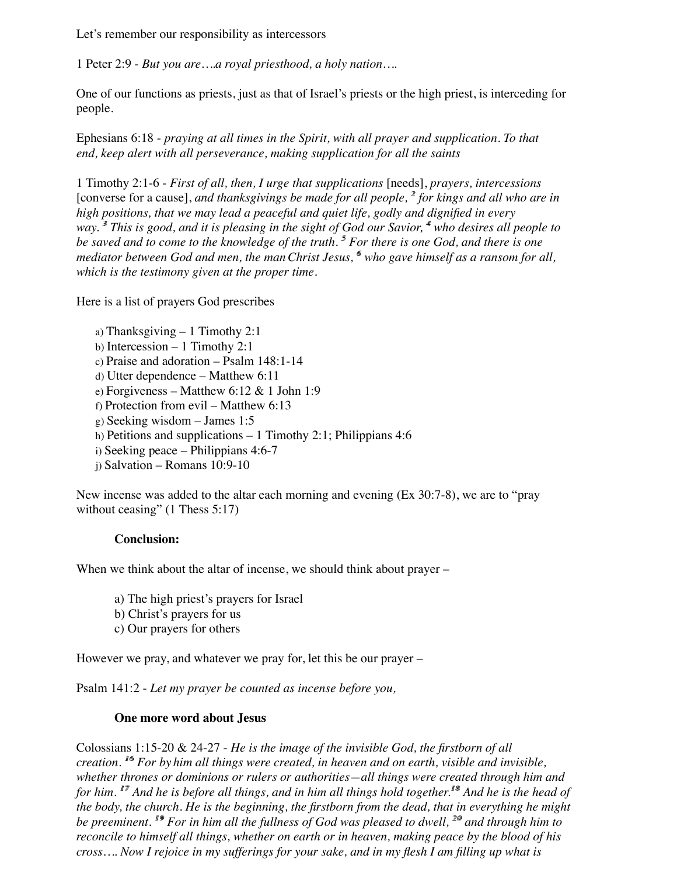Let's remember our responsibility as intercessors

1 Peter 2:9 - *But you are….a royal priesthood, a holy nation….*

One of our functions as priests, just as that of Israel's priests or the high priest, is interceding for people.

Ephesians 6:18 - *praying at all times in the Spirit, with all prayer and supplication. To that end, keep alert with all perseverance, making supplication for all the saints*

1 Timothy 2:1-6 - *First of all, then, I urge that supplications* [needs], *prayers, intercessions* [converse for a cause], *and thanksgivings be made for all people*, <sup>2</sup> for kings and all who are in *high positions, that we may lead a peaceful and quiet life, godly and dignified in every* way. <sup>3</sup> This is good, and it is pleasing in the sight of God our Savior, <sup>4</sup> who desires all people to *be saved and to come to the knowledge of the truth. 5 5 For there is one God, and there is one* mediator between God and men, the man Christ Jesus, <sup>6</sup> who gave himself as a ransom for all, *which is the testimony given at the proper time.*

Here is a list of prayers God prescribes

- a) Thanksgiving 1 Timothy 2:1
- b) Intercession 1 Timothy 2:1
- c) Praise and adoration Psalm 148:1-14
- d) Utter dependence Matthew 6:11
- e) Forgiveness Matthew 6:12 & 1 John 1:9
- f) Protection from evil Matthew 6:13
- g) Seeking wisdom James 1:5
- h) Petitions and supplications  $-1$  Timothy 2:1; Philippians 4:6
- i) Seeking peace Philippians 4:6-7
- j) Salvation Romans 10:9-10

New incense was added to the altar each morning and evening (Ex 30:7-8), we are to "pray without ceasing" (1 Thess 5:17)

### **Conclusion:**

When we think about the altar of incense, we should think about prayer –

- a) The high priest's prayers for Israel
- b) Christ's prayers for us
- c) Our prayers for others

However we pray, and whatever we pray for, let this be our prayer –

Psalm 141:2 - *Let my prayer be counted as incense before you,*

### **One more word about Jesus**

Colossians 1:15-20 & 24-27 - *He is the image of the invisible God, the firstborn of all creation. 16 16 For by him all things were created, in heaven and on earth, visible and invisible, whether thrones or dominions or rulers or authorities—all things were created through him and for him.* <sup>17</sup> And he is before all things, and in him all things hold together.<sup>18</sup> And he is the head of *the body, the church. He is the beginning, the firstborn from the dead, that in everything he might be preeminent.* <sup>*19</sup> For in him all the fullness of God was pleased to dwell,* <sup>20</sup> and through him to</sup> *reconcile to himself all things, whether on earth or in heaven, making peace by the blood of his cross…. Now I rejoice in my sufferings for your sake, and in my flesh I am filling up what is*